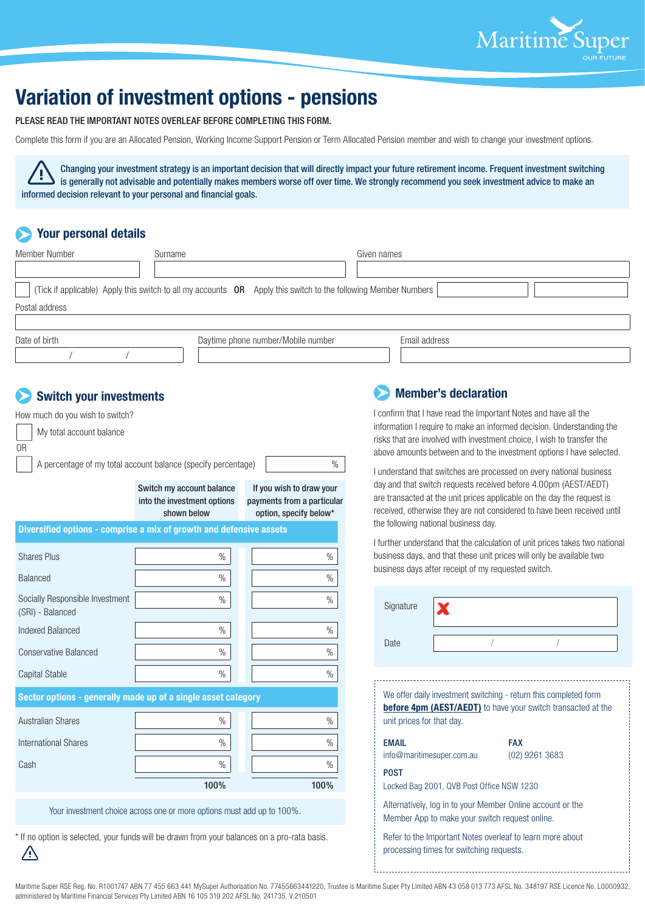

# **Variation of investment options - pensions**

PLEASE READ THE IMPORTANT NOTES OVERLEAF BEFORE COMPLETING THIS FORM.

Complete this form if you are an Allocated Pension, Working Income Support Pension or Term Allocated Pension member and wish to change your investment options.

Changing your investment strategy is an important decision that will directly impact your future retirement income. Frequent investment switching is generally not advisable and potentially makes members worse off over time. We strongly recommend you seek investment advice to make an informed decision relevant to your personal and financial goals.

## **Your personal details**

| Member Number  | Surname                                                                                                        | Given names   |
|----------------|----------------------------------------------------------------------------------------------------------------|---------------|
|                |                                                                                                                |               |
|                | (Tick if applicable) Apply this switch to all my accounts OR Apply this switch to the following Member Numbers |               |
| Postal address |                                                                                                                |               |
|                |                                                                                                                |               |
| Date of birth  | Daytime phone number/Mobile number                                                                             | Email address |

## **Switch your investments**

/ /

| How much do you wish to switch?<br>My total account balance<br>0 <sub>R</sub>                |                                                                         |                                                                                  |  |  |  |
|----------------------------------------------------------------------------------------------|-------------------------------------------------------------------------|----------------------------------------------------------------------------------|--|--|--|
| $\frac{0}{n}$<br>A percentage of my total account balance (specify percentage)               |                                                                         |                                                                                  |  |  |  |
|                                                                                              | Switch my account balance<br>into the investment options<br>shown below | If you wish to draw your<br>payments from a particular<br>option, specify below* |  |  |  |
| Diversified options - comprise a mix of growth and defensive assets                          |                                                                         |                                                                                  |  |  |  |
| <b>Shares Plus</b>                                                                           | $\%$                                                                    | $\frac{0}{0}$                                                                    |  |  |  |
| <b>Balanced</b>                                                                              | $\%$                                                                    | $\%$                                                                             |  |  |  |
| Socially Responsible Investment<br>(SRI) - Balanced                                          | $\%$                                                                    | $\frac{0}{0}$                                                                    |  |  |  |
| Indexed Balanced                                                                             | $\%$                                                                    | $\frac{0}{0}$                                                                    |  |  |  |
| <b>Conservative Balanced</b>                                                                 | $\frac{0}{0}$                                                           | $\frac{0}{0}$                                                                    |  |  |  |
| <b>Capital Stable</b>                                                                        | $\%$                                                                    | $\%$                                                                             |  |  |  |
| Sector options - generally made up of a single asset category                                |                                                                         |                                                                                  |  |  |  |
| <b>Australian Shares</b>                                                                     | $\%$                                                                    | $\%$                                                                             |  |  |  |
| <b>International Shares</b>                                                                  | $\frac{0}{0}$                                                           | $\%$                                                                             |  |  |  |
| Cash                                                                                         | $\%$                                                                    | $\frac{0}{0}$                                                                    |  |  |  |
|                                                                                              | 100%                                                                    | 100%                                                                             |  |  |  |
| Your investment choice across one or more options must add up to 100%.                       |                                                                         |                                                                                  |  |  |  |
| * If no option is selected, your funds will be drawn from your balances on a pro-rata basis. |                                                                         |                                                                                  |  |  |  |

## **Member's declaration**

I confirm that I have read the Important Notes and have all the information I require to make an informed decision. Understanding the risks that are involved with investment choice, I wish to transfer the above amounts between and to the investment options I have selected.

I understand that switches are processed on every national business day and that switch requests received before 4.00pm (AEST/AEDT) are transacted at the unit prices applicable on the day the request is received, otherwise they are not considered to have been received until the following national business day.

I further understand that the calculation of unit prices takes two national business days, and that these unit prices will only be available two business days after receipt of my requested switch.

| Signature                                                                                                                                                            |  |                                |  |  |  |
|----------------------------------------------------------------------------------------------------------------------------------------------------------------------|--|--------------------------------|--|--|--|
| Date                                                                                                                                                                 |  |                                |  |  |  |
| We offer daily investment switching - return this completed form<br><b>before 4pm (AEST/AEDT)</b> to have your switch transacted at the<br>unit prices for that day. |  |                                |  |  |  |
| <b>EMAIL</b><br>info@maritimesuper.com.au                                                                                                                            |  | <b>FAX</b><br>$(02)$ 9261 3683 |  |  |  |
| <b>POST</b><br>Locked Bag 2001, QVB Post Office NSW 1230                                                                                                             |  |                                |  |  |  |
| Alternatively, log in to your Member Online account or the<br>Member App to make your switch request online.                                                         |  |                                |  |  |  |
| Refer to the Important Notes overleaf to learn more about<br>processing times for switching requests.                                                                |  |                                |  |  |  |

Maritime Super RSE Reg. No. R1001747 ABN 77 455 663 441 MySuper Authorisation No. 77455663441220, Trustee is Maritime Super Pty Limited ABN 43 058 013 773 AFSL No. 348197 RSE Licence No. L0000932, administered by Maritime Financial Services Pty Limited ABN 16 105 319 202 AFSL No. 241735. V.210501